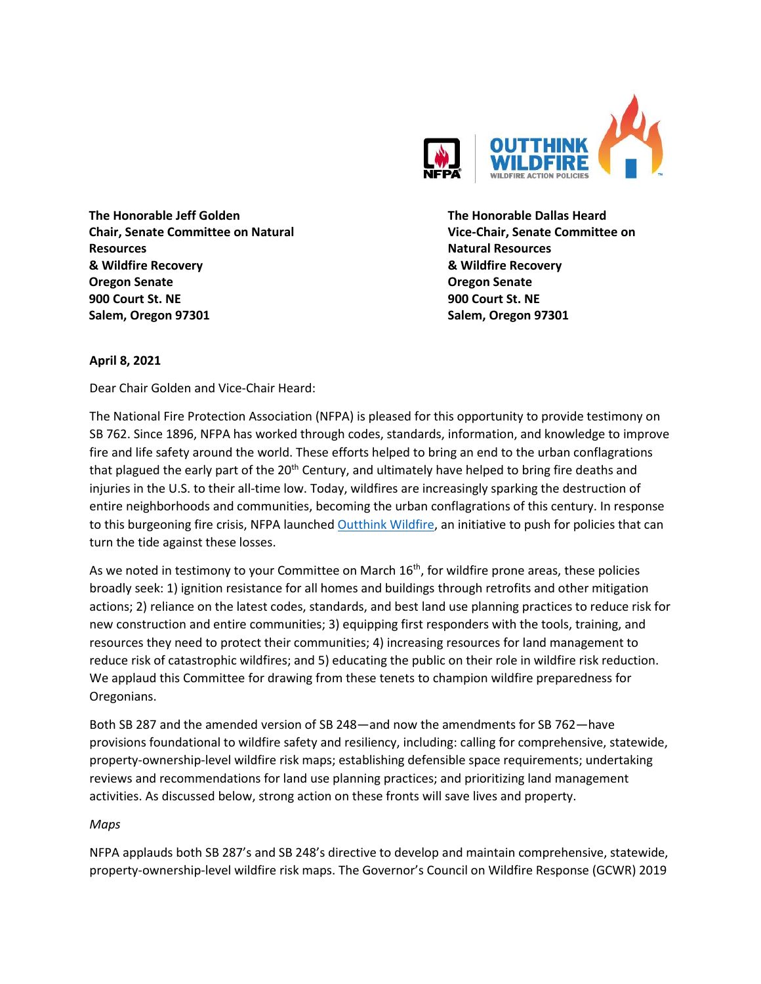

**The Honorable Jeff Golden Chair, Senate Committee on Natural Resources & Wildfire Recovery Oregon Senate 900 Court St. NE Salem, Oregon 97301**

**The Honorable Dallas Heard Vice-Chair, Senate Committee on Natural Resources & Wildfire Recovery Oregon Senate 900 Court St. NE Salem, Oregon 97301**

### **April 8, 2021**

Dear Chair Golden and Vice-Chair Heard:

The National Fire Protection Association (NFPA) is pleased for this opportunity to provide testimony on SB 762. Since 1896, NFPA has worked through codes, standards, information, and knowledge to improve fire and life safety around the world. These efforts helped to bring an end to the urban conflagrations that plagued the early part of the 20<sup>th</sup> Century, and ultimately have helped to bring fire deaths and injuries in the U.S. to their all-time low. Today, wildfires are increasingly sparking the destruction of entire neighborhoods and communities, becoming the urban conflagrations of this century. In response to this burgeoning fire crisis, NFPA launche[d Outthink Wildfire,](https://www.google.com/url?sa=t&rct=j&q=&esrc=s&source=web&cd=&cad=rja&uact=8&ved=2ahUKEwi_qfStu-nvAhWaGs0KHSqfAA8QFjABegQIAhAD&url=https%3A%2F%2Fwww.nfpa.org%2FAbout-NFPA%2FOutthink-Wildfire&usg=AOvVaw0EOtHB38OK2elTIAtgGWR5) an initiative to push for policies that can turn the tide against these losses.

As we noted in testimony to your Committee on March  $16<sup>th</sup>$ , for wildfire prone areas, these policies broadly seek: 1) ignition resistance for all homes and buildings through retrofits and other mitigation actions; 2) reliance on the latest codes, standards, and best land use planning practices to reduce risk for new construction and entire communities; 3) equipping first responders with the tools, training, and resources they need to protect their communities; 4) increasing resources for land management to reduce risk of catastrophic wildfires; and 5) educating the public on their role in wildfire risk reduction. We applaud this Committee for drawing from these tenets to champion wildfire preparedness for Oregonians.

Both SB 287 and the amended version of SB 248—and now the amendments for SB 762—have provisions foundational to wildfire safety and resiliency, including: calling for comprehensive, statewide, property-ownership-level wildfire risk maps; establishing defensible space requirements; undertaking reviews and recommendations for land use planning practices; and prioritizing land management activities. As discussed below, strong action on these fronts will save lives and property.

### *Maps*

NFPA applauds both SB 287's and SB 248's directive to develop and maintain comprehensive, statewide, property-ownership-level wildfire risk maps. The Governor's Council on Wildfire Response (GCWR) 2019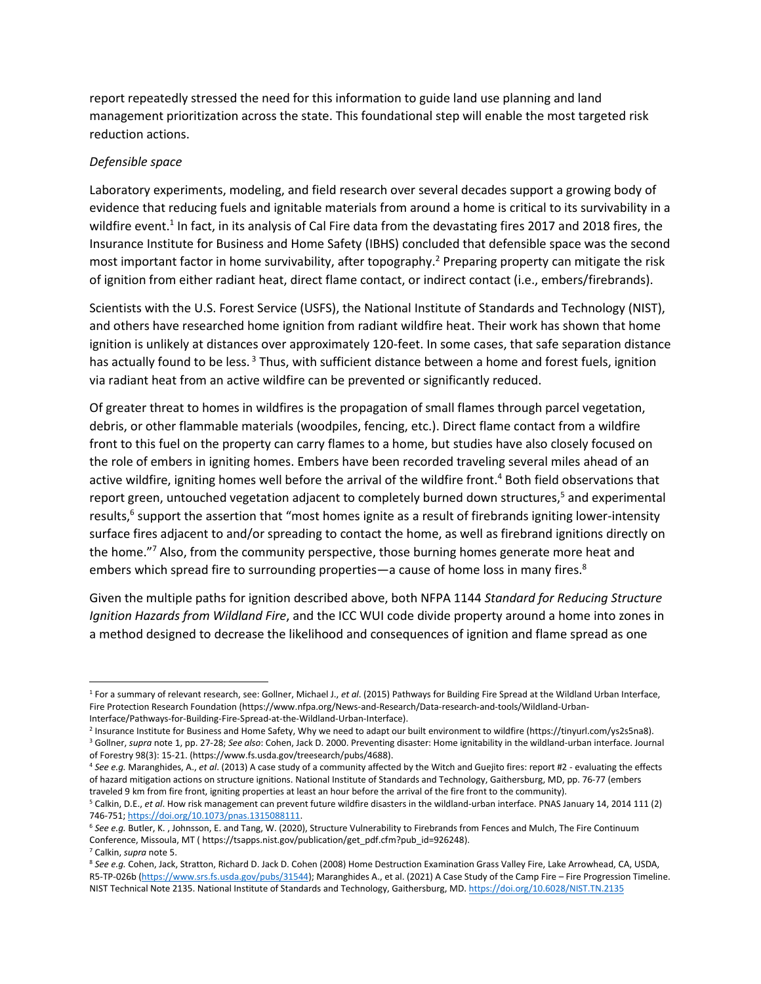report repeatedly stressed the need for this information to guide land use planning and land management prioritization across the state. This foundational step will enable the most targeted risk reduction actions.

#### *Defensible space*

Laboratory experiments, modeling, and field research over several decades support a growing body of evidence that reducing fuels and ignitable materials from around a home is critical to its survivability in a wildfire event.<sup>1</sup> In fact, in its analysis of Cal Fire data from the devastating fires 2017 and 2018 fires, the Insurance Institute for Business and Home Safety (IBHS) concluded that defensible space was the second most important factor in home survivability, after topography.<sup>2</sup> Preparing property can mitigate the risk of ignition from either radiant heat, direct flame contact, or indirect contact (i.e., embers/firebrands).

Scientists with the U.S. Forest Service (USFS), the National Institute of Standards and Technology (NIST), and others have researched home ignition from radiant wildfire heat. Their work has shown that home ignition is unlikely at distances over approximately 120-feet. In some cases, that safe separation distance has actually found to be less.<sup>3</sup> Thus, with sufficient distance between a home and forest fuels, ignition via radiant heat from an active wildfire can be prevented or significantly reduced.

Of greater threat to homes in wildfires is the propagation of small flames through parcel vegetation, debris, or other flammable materials (woodpiles, fencing, etc.). Direct flame contact from a wildfire front to this fuel on the property can carry flames to a home, but studies have also closely focused on the role of embers in igniting homes. Embers have been recorded traveling several miles ahead of an active wildfire, igniting homes well before the arrival of the wildfire front. <sup>4</sup> Both field observations that report green, untouched vegetation adjacent to completely burned down structures,<sup>5</sup> and experimental results,<sup>6</sup> support the assertion that "most homes ignite as a result of firebrands igniting lower-intensity surface fires adjacent to and/or spreading to contact the home, as well as firebrand ignitions directly on the home." <sup>7</sup> Also, from the community perspective, those burning homes generate more heat and embers which spread fire to surrounding properties—a cause of home loss in many fires.<sup>8</sup>

Given the multiple paths for ignition described above, both NFPA 1144 *Standard for Reducing Structure Ignition Hazards from Wildland Fire*, and the ICC WUI code divide property around a home into zones in a method designed to decrease the likelihood and consequences of ignition and flame spread as one

<sup>1</sup> For a summary of relevant research, see: Gollner, Michael J., *et al*. (2015) Pathways for Building Fire Spread at the Wildland Urban Interface, Fire Protection Research Foundation (https://www.nfpa.org/News-and-Research/Data-research-and-tools/Wildland-Urban-Interface/Pathways-for-Building-Fire-Spread-at-the-Wildland-Urban-Interface).

<sup>2</sup> Insurance Institute for Business and Home Safety, Why we need to adapt our built environment to wildfire (https://tinyurl.com/ys2s5na8). <sup>3</sup> Gollner, *supra* note 1, pp. 27-28; *See also*: Cohen, Jack D. 2000. Preventing disaster: Home ignitability in the wildland-urban interface. Journal of Forestry 98(3): 15-21. (https://www.fs.usda.gov/treesearch/pubs/4688).

<sup>4</sup> *See e.g.* Maranghides, A., *et al*. (2013) A case study of a community affected by the Witch and Guejito fires: report #2 - evaluating the effects of hazard mitigation actions on structure ignitions. National Institute of Standards and Technology, Gaithersburg, MD, pp. 76-77 (embers traveled 9 km from fire front, igniting properties at least an hour before the arrival of the fire front to the community).

<sup>5</sup> Calkin, D.E., *et al*. How risk management can prevent future wildfire disasters in the wildland-urban interface. PNAS January 14, 2014 111 (2) 746-751[; https://doi.org/10.1073/pnas.1315088111.](https://doi.org/10.1073/pnas.1315088111)

<sup>6</sup> *See e.g.* Butler, K. , Johnsson, E. and Tang, W. (2020), Structure Vulnerability to Firebrands from Fences and Mulch, The Fire Continuum Conference, Missoula, MT ( https://tsapps.nist.gov/publication/get\_pdf.cfm?pub\_id=926248).

<sup>7</sup> Calkin, *supra* note 5.

<sup>8</sup> *See e.g.* Cohen, Jack, Stratton, Richard D. Jack D. Cohen (2008) Home Destruction Examination Grass Valley Fire, Lake Arrowhead, CA, USDA, R5-TP-026b [\(https://www.srs.fs.usda.gov/pubs/31544\)](https://www.srs.fs.usda.gov/pubs/31544); Maranghides A., et al. (2021) A Case Study of the Camp Fire – Fire Progression Timeline. NIST Technical Note 2135. National Institute of Standards and Technology, Gaithersburg, MD[. https://doi.org/10.6028/NIST.TN.2135](https://doi.org/10.6028/NIST.TN.2135)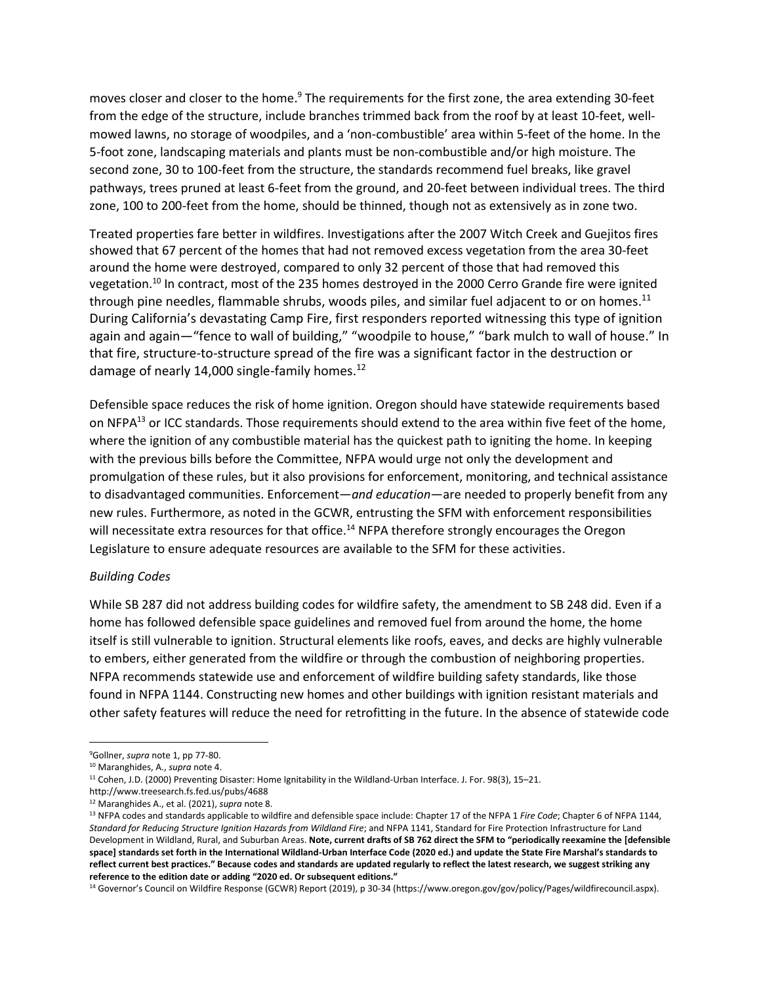moves closer and closer to the home.<sup>9</sup> The requirements for the first zone, the area extending 30-feet from the edge of the structure, include branches trimmed back from the roof by at least 10-feet, wellmowed lawns, no storage of woodpiles, and a 'non-combustible' area within 5-feet of the home. In the 5-foot zone, landscaping materials and plants must be non-combustible and/or high moisture. The second zone, 30 to 100-feet from the structure, the standards recommend fuel breaks, like gravel pathways, trees pruned at least 6-feet from the ground, and 20-feet between individual trees. The third zone, 100 to 200-feet from the home, should be thinned, though not as extensively as in zone two.

Treated properties fare better in wildfires. Investigations after the 2007 Witch Creek and Guejitos fires showed that 67 percent of the homes that had not removed excess vegetation from the area 30-feet around the home were destroyed, compared to only 32 percent of those that had removed this vegetation.<sup>10</sup> In contract, most of the 235 homes destroyed in the 2000 Cerro Grande fire were ignited through pine needles, flammable shrubs, woods piles, and similar fuel adjacent to or on homes.<sup>11</sup> During California's devastating Camp Fire, first responders reported witnessing this type of ignition again and again—"fence to wall of building," "woodpile to house," "bark mulch to wall of house." In that fire, structure-to-structure spread of the fire was a significant factor in the destruction or damage of nearly 14,000 single-family homes. $^{12}$ 

Defensible space reduces the risk of home ignition. Oregon should have statewide requirements based on NFPA<sup>13</sup> or ICC standards. Those requirements should extend to the area within five feet of the home, where the ignition of any combustible material has the quickest path to igniting the home. In keeping with the previous bills before the Committee, NFPA would urge not only the development and promulgation of these rules, but it also provisions for enforcement, monitoring, and technical assistance to disadvantaged communities. Enforcement—*and education*—are needed to properly benefit from any new rules. Furthermore, as noted in the GCWR, entrusting the SFM with enforcement responsibilities will necessitate extra resources for that office.<sup>14</sup> NFPA therefore strongly encourages the Oregon Legislature to ensure adequate resources are available to the SFM for these activities.

#### *Building Codes*

While SB 287 did not address building codes for wildfire safety, the amendment to SB 248 did. Even if a home has followed defensible space guidelines and removed fuel from around the home, the home itself is still vulnerable to ignition. Structural elements like roofs, eaves, and decks are highly vulnerable to embers, either generated from the wildfire or through the combustion of neighboring properties. NFPA recommends statewide use and enforcement of wildfire building safety standards, like those found in NFPA 1144. Constructing new homes and other buildings with ignition resistant materials and other safety features will reduce the need for retrofitting in the future. In the absence of statewide code

http://www.treesearch.fs.fed.us/pubs/4688

<sup>9</sup>Gollner, *supra* note 1, pp 77-80.

<sup>10</sup> Maranghides, A., *supra* note 4.

<sup>11</sup> Cohen, J.D. (2000) Preventing Disaster: Home Ignitability in the Wildland-Urban Interface. J. For. 98(3), 15–21.

<sup>12</sup> Maranghides A., et al. (2021), *supra* note 8.

<sup>&</sup>lt;sup>13</sup> NFPA codes and standards applicable to wildfire and defensible space include: Chapter 17 of the NFPA 1 *Fire Code*; Chapter 6 of NFPA 1144, *Standard for Reducing Structure Ignition Hazards from Wildland Fire*; and NFPA 1141, Standard for Fire Protection Infrastructure for Land Development in Wildland, Rural, and Suburban Areas. **Note, current drafts of SB 762 direct the SFM to "periodically reexamine the [defensible space] standards set forth in the International Wildland-Urban Interface Code (2020 ed.) and update the State Fire Marshal's standards to reflect current best practices." Because codes and standards are updated regularly to reflect the latest research, we suggest striking any reference to the edition date or adding "2020 ed. Or subsequent editions."**

<sup>14</sup> Governor's Council on Wildfire Response (GCWR) Report (2019), p 30-34 (https://www.oregon.gov/gov/policy/Pages/wildfirecouncil.aspx).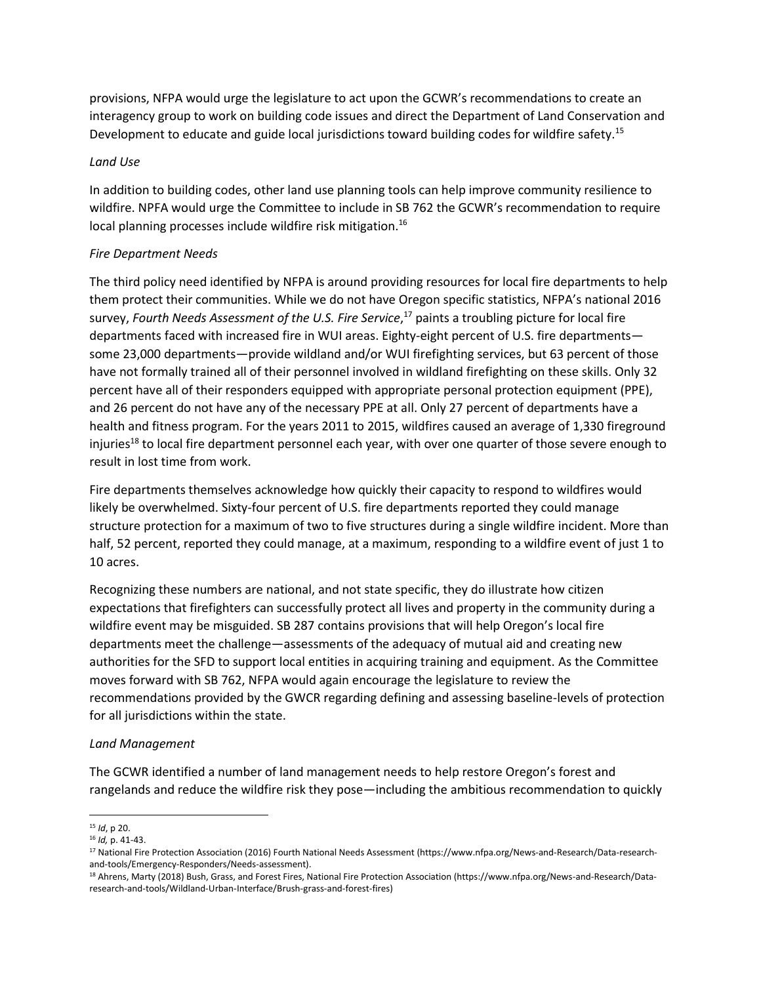provisions, NFPA would urge the legislature to act upon the GCWR's recommendations to create an interagency group to work on building code issues and direct the Department of Land Conservation and Development to educate and guide local jurisdictions toward building codes for wildfire safety.<sup>15</sup>

### *Land Use*

In addition to building codes, other land use planning tools can help improve community resilience to wildfire. NPFA would urge the Committee to include in SB 762 the GCWR's recommendation to require local planning processes include wildfire risk mitigation.<sup>16</sup>

# *Fire Department Needs*

The third policy need identified by NFPA is around providing resources for local fire departments to help them protect their communities. While we do not have Oregon specific statistics, NFPA's national 2016 survey, *Fourth Needs Assessment of the U.S. Fire Service*, <sup>17</sup> paints a troubling picture for local fire departments faced with increased fire in WUI areas. Eighty-eight percent of U.S. fire departments some 23,000 departments—provide wildland and/or WUI firefighting services, but 63 percent of those have not formally trained all of their personnel involved in wildland firefighting on these skills. Only 32 percent have all of their responders equipped with appropriate personal protection equipment (PPE), and 26 percent do not have any of the necessary PPE at all. Only 27 percent of departments have a health and fitness program. For the years 2011 to 2015, wildfires caused an average of 1,330 fireground injuries<sup>18</sup> to local fire department personnel each year, with over one quarter of those severe enough to result in lost time from work.

Fire departments themselves acknowledge how quickly their capacity to respond to wildfires would likely be overwhelmed. Sixty-four percent of U.S. fire departments reported they could manage structure protection for a maximum of two to five structures during a single wildfire incident. More than half, 52 percent, reported they could manage, at a maximum, responding to a wildfire event of just 1 to 10 acres.

Recognizing these numbers are national, and not state specific, they do illustrate how citizen expectations that firefighters can successfully protect all lives and property in the community during a wildfire event may be misguided. SB 287 contains provisions that will help Oregon's local fire departments meet the challenge—assessments of the adequacy of mutual aid and creating new authorities for the SFD to support local entities in acquiring training and equipment. As the Committee moves forward with SB 762, NFPA would again encourage the legislature to review the recommendations provided by the GWCR regarding defining and assessing baseline-levels of protection for all jurisdictions within the state.

### *Land Management*

The GCWR identified a number of land management needs to help restore Oregon's forest and rangelands and reduce the wildfire risk they pose—including the ambitious recommendation to quickly

<sup>15</sup> *Id*, p 20.

<sup>16</sup> *Id,* p. 41-43.

<sup>17</sup> National Fire Protection Association (2016) Fourth National Needs Assessment (https://www.nfpa.org/News-and-Research/Data-researchand-tools/Emergency-Responders/Needs-assessment).

<sup>18</sup> Ahrens, Marty (2018) Bush, Grass, and Forest Fires, National Fire Protection Association (https://www.nfpa.org/News-and-Research/Dataresearch-and-tools/Wildland-Urban-Interface/Brush-grass-and-forest-fires)